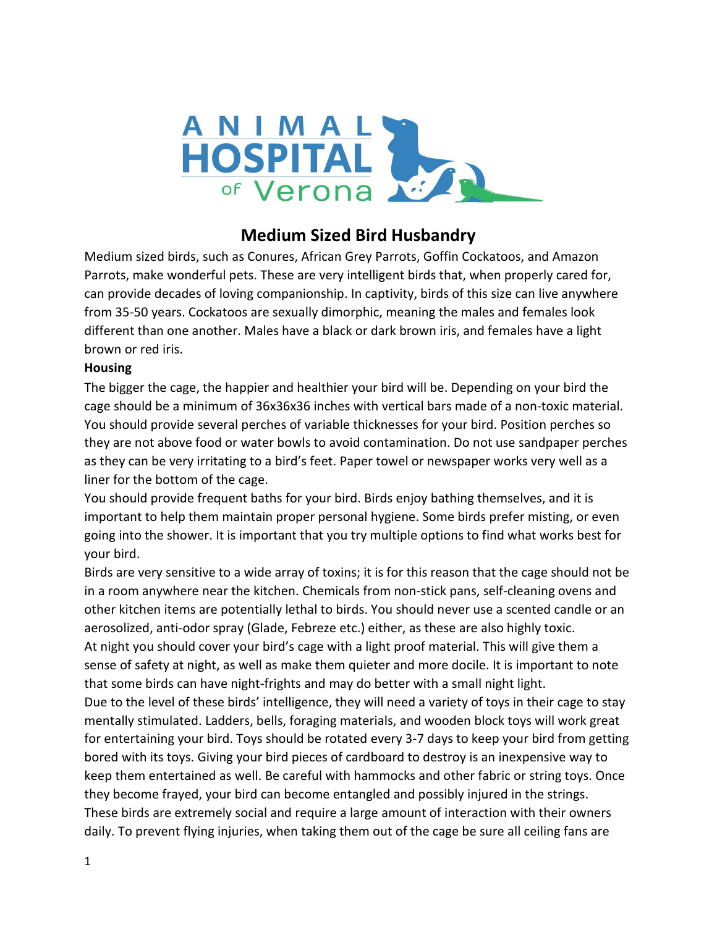

# **Medium Sized Bird Husbandry**

Medium sized birds, such as Conures, African Grey Parrots, Goffin Cockatoos, and Amazon Parrots, make wonderful pets. These are very intelligent birds that, when properly cared for, can provide decades of loving companionship. In captivity, birds of this size can live anywhere from 35-50 years. Cockatoos are sexually dimorphic, meaning the males and females look different than one another. Males have a black or dark brown iris, and females have a light brown or red iris.

#### **Housing**

The bigger the cage, the happier and healthier your bird will be. Depending on your bird the cage should be a minimum of 36x36x36 inches with vertical bars made of a non-toxic material. You should provide several perches of variable thicknesses for your bird. Position perches so they are not above food or water bowls to avoid contamination. Do not use sandpaper perches as they can be very irritating to a bird's feet. Paper towel or newspaper works very well as a liner for the bottom of the cage.

You should provide frequent baths for your bird. Birds enjoy bathing themselves, and it is important to help them maintain proper personal hygiene. Some birds prefer misting, or even going into the shower. It is important that you try multiple options to find what works best for your bird.

Birds are very sensitive to a wide array of toxins; it is for this reason that the cage should not be in a room anywhere near the kitchen. Chemicals from non-stick pans, self-cleaning ovens and other kitchen items are potentially lethal to birds. You should never use a scented candle or an aerosolized, anti-odor spray (Glade, Febreze etc.) either, as these are also highly toxic. At night you should cover your bird's cage with a light proof material. This will give them a sense of safety at night, as well as make them quieter and more docile. It is important to note that some birds can have night-frights and may do better with a small night light. Due to the level of these birds' intelligence, they will need a variety of toys in their cage to stay mentally stimulated. Ladders, bells, foraging materials, and wooden block toys will work great for entertaining your bird. Toys should be rotated every 3-7 days to keep your bird from getting bored with its toys. Giving your bird pieces of cardboard to destroy is an inexpensive way to keep them entertained as well. Be careful with hammocks and other fabric or string toys. Once they become frayed, your bird can become entangled and possibly injured in the strings. These birds are extremely social and require a large amount of interaction with their owners daily. To prevent flying injuries, when taking them out of the cage be sure all ceiling fans are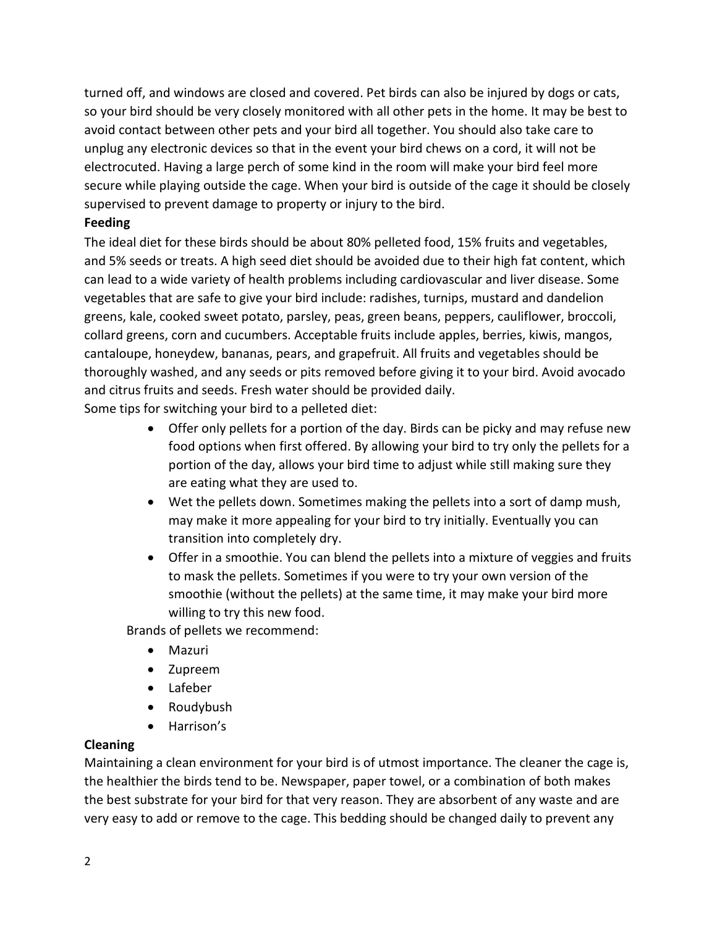turned off, and windows are closed and covered. Pet birds can also be injured by dogs or cats, so your bird should be very closely monitored with all other pets in the home. It may be best to avoid contact between other pets and your bird all together. You should also take care to unplug any electronic devices so that in the event your bird chews on a cord, it will not be electrocuted. Having a large perch of some kind in the room will make your bird feel more secure while playing outside the cage. When your bird is outside of the cage it should be closely supervised to prevent damage to property or injury to the bird.

### **Feeding**

The ideal diet for these birds should be about 80% pelleted food, 15% fruits and vegetables, and 5% seeds or treats. A high seed diet should be avoided due to their high fat content, which can lead to a wide variety of health problems including cardiovascular and liver disease. Some vegetables that are safe to give your bird include: radishes, turnips, mustard and dandelion greens, kale, cooked sweet potato, parsley, peas, green beans, peppers, cauliflower, broccoli, collard greens, corn and cucumbers. Acceptable fruits include apples, berries, kiwis, mangos, cantaloupe, honeydew, bananas, pears, and grapefruit. All fruits and vegetables should be thoroughly washed, and any seeds or pits removed before giving it to your bird. Avoid avocado and citrus fruits and seeds. Fresh water should be provided daily.

Some tips for switching your bird to a pelleted diet:

- Offer only pellets for a portion of the day. Birds can be picky and may refuse new food options when first offered. By allowing your bird to try only the pellets for a portion of the day, allows your bird time to adjust while still making sure they are eating what they are used to.
- Wet the pellets down. Sometimes making the pellets into a sort of damp mush, may make it more appealing for your bird to try initially. Eventually you can transition into completely dry.
- Offer in a smoothie. You can blend the pellets into a mixture of veggies and fruits to mask the pellets. Sometimes if you were to try your own version of the smoothie (without the pellets) at the same time, it may make your bird more willing to try this new food.

Brands of pellets we recommend:

- Mazuri
- Zupreem
- Lafeber
- Roudybush
- Harrison's

#### **Cleaning**

Maintaining a clean environment for your bird is of utmost importance. The cleaner the cage is, the healthier the birds tend to be. Newspaper, paper towel, or a combination of both makes the best substrate for your bird for that very reason. They are absorbent of any waste and are very easy to add or remove to the cage. This bedding should be changed daily to prevent any